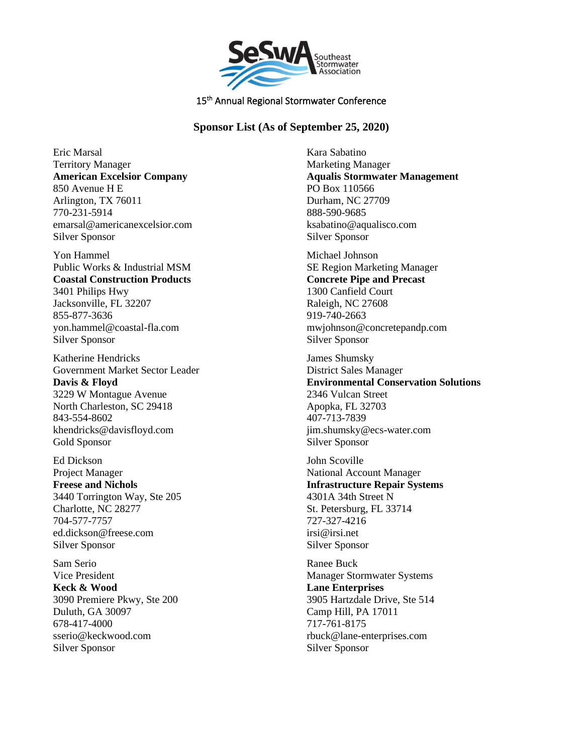

15<sup>th</sup> Annual Regional Stormwater Conference

## **Sponsor List (As of September 25, 2020)**

Eric Marsal Territory Manager **American Excelsior Company** 850 Avenue H E Arlington, TX 76011 770-231-5914 emarsal@americanexcelsior.com Silver Sponsor

Yon Hammel Public Works & Industrial MSM **Coastal Construction Products** 3401 Philips Hwy Jacksonville, FL 32207 855-877-3636 yon.hammel@coastal-fla.com Silver Sponsor

Katherine Hendricks Government Market Sector Leader **Davis & Floyd** 3229 W Montague Avenue North Charleston, SC 29418 843-554-8602 khendricks@davisfloyd.com Gold Sponsor

Ed Dickson Project Manager **Freese and Nichols** 3440 Torrington Way, Ste 205 Charlotte, NC 28277 704-577-7757 ed.dickson@freese.com Silver Sponsor

Sam Serio Vice President **Keck & Wood** 3090 Premiere Pkwy, Ste 200 Duluth, GA 30097 678-417-4000 sserio@keckwood.com Silver Sponsor

Kara Sabatino Marketing Manager **Aqualis Stormwater Management** PO Box 110566 Durham, NC 27709 888-590-9685 ksabatino@aqualisco.com Silver Sponsor

Michael Johnson SE Region Marketing Manager **Concrete Pipe and Precast** 1300 Canfield Court Raleigh, NC 27608 919-740-2663 mwjohnson@concretepandp.com Silver Sponsor

James Shumsky District Sales Manager **Environmental Conservation Solutions** 2346 Vulcan Street Apopka, FL 32703 407-713-7839 jim.shumsky@ecs-water.com Silver Sponsor

John Scoville National Account Manager **Infrastructure Repair Systems** 4301A 34th Street N St. Petersburg, FL 33714 727-327-4216 irsi@irsi.net Silver Sponsor

Ranee Buck Manager Stormwater Systems **Lane Enterprises** 3905 Hartzdale Drive, Ste 514 Camp Hill, PA 17011 717-761-8175 rbuck@lane-enterprises.com Silver Sponsor